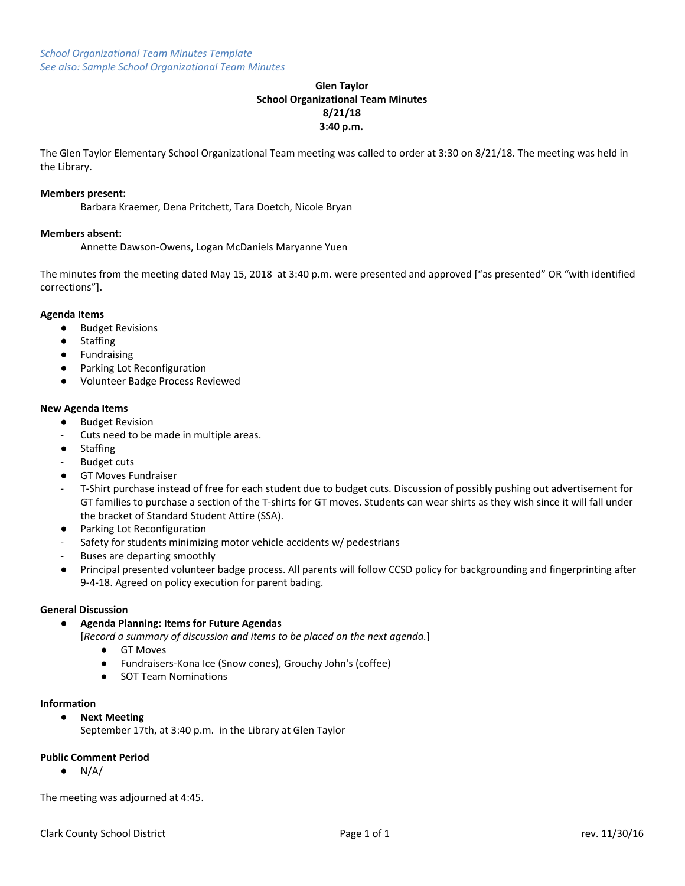# **Glen Taylor School Organizational Team Minutes 8/21/18 3:40 p.m.**

The Glen Taylor Elementary School Organizational Team meeting was called to order at 3:30 on 8/21/18. The meeting was held in the Library.

#### **Members present:**

Barbara Kraemer, Dena Pritchett, Tara Doetch, Nicole Bryan

## **Members absent:**

Annette Dawson-Owens, Logan McDaniels Maryanne Yuen

The minutes from the meeting dated May 15, 2018 at 3:40 p.m. were presented and approved ["as presented" OR "with identified corrections"].

## **Agenda Items**

- Budget Revisions
- Staffing
- Fundraising
- Parking Lot Reconfiguration
- Volunteer Badge Process Reviewed

## **New Agenda Items**

- Budget Revision
- Cuts need to be made in multiple areas.
- Staffing
- **Budget cuts**
- **GT Moves Fundraiser**
- T-Shirt purchase instead of free for each student due to budget cuts. Discussion of possibly pushing out advertisement for GT families to purchase a section of the T-shirts for GT moves. Students can wear shirts as they wish since it will fall under the bracket of Standard Student Attire (SSA).
- Parking Lot Reconfiguration
- Safety for students minimizing motor vehicle accidents w/ pedestrians
- Buses are departing smoothly
- Principal presented volunteer badge process. All parents will follow CCSD policy for backgrounding and fingerprinting after 9-4-18. Agreed on policy execution for parent bading.

#### **General Discussion**

#### **● Agenda Planning: Items for Future Agendas**

- [*Record a summary of discussion and items to be placed on the next agenda.*]
	- GT Moves
	- Fundraisers-Kona Ice (Snow cones), Grouchy John's (coffee)
	- SOT Team Nominations

#### **Information**

## **● Next Meeting**

September 17th, at 3:40 p.m. in the Library at Glen Taylor

# **Public Comment Period**

 $\bullet$  N/A/

The meeting was adjourned at 4:45.